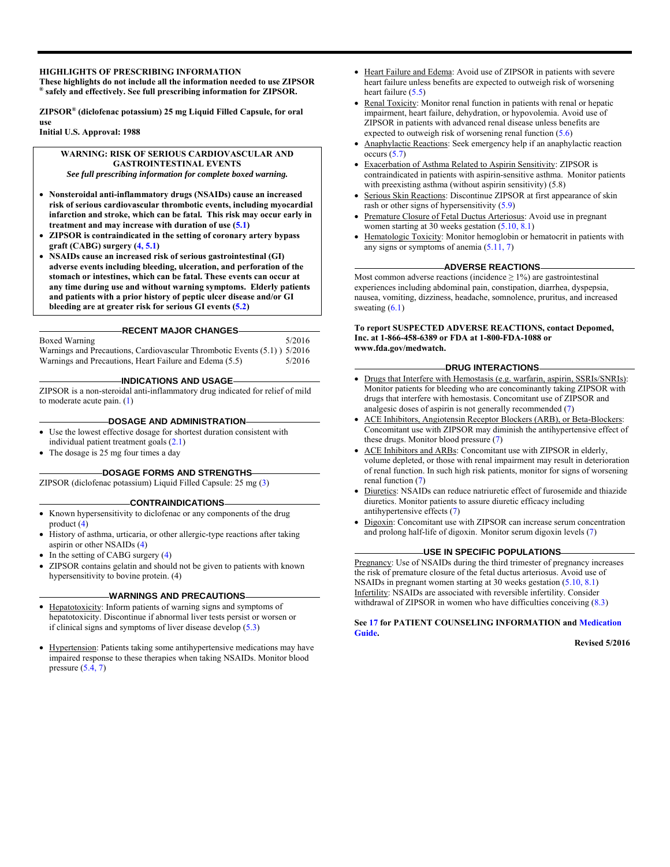#### **HIGHLIGHTS OF PRESCRIBING INFORMATION**

**These highlights do not include all the information needed to use ZIPSOR ® safely and effectively. See full prescribing information for ZIPSOR.** 

**ZIPSOR® (diclofenac potassium) 25 mg Liquid Filled Capsule, for oral use** 

**Initial U.S. Approval: 1988** 

**WARNING: RISK OF SERIOUS CARDIOVASCULAR AND GASTROINTESTINAL EVENTS** *See full prescribing information for complete boxed warning.* 

- **Nonsteroidal anti-inflammatory drugs (NSAIDs) cause an increased risk of serious cardiovascular thrombotic events, including myocardial infarction and stroke, which can be fatal. This risk may occur early in treatment and may increase with duration of use (5.1)**
- **ZIPSOR is contraindicated in the setting of coronary artery bypass graft (CABG) surgery (4, 5.1)**
- **NSAIDs cause an increased risk of serious gastrointestinal (GI) adverse events including bleeding, ulceration, and perforation of the stomach or intestines, which can be fatal. These events can occur at any time during use and without warning symptoms. Elderly patients and patients with a prior history of peptic ulcer disease and/or GI bleeding are at greater risk for serious GI events (5.2)**

#### **RECENT MAJOR CHANGES**

Boxed Warning 5/2016

Warnings and Precautions, Cardiovascular Thrombotic Events (5.1) ) 5/2016 Warnings and Precautions, Heart Failure and Edema (5.5) 5/2016

#### **INDICATIONS AND USAGE**

ZIPSOR is a non-steroidal anti-inflammatory drug indicated for relief of mild to moderate acute pain. (1)

#### **DOSAGE AND ADMINISTRATION**

- Use the lowest effective dosage for shortest duration consistent with individual patient treatment goals (2.1)
- The dosage is 25 mg four times a day

#### **DOSAGE FORMS AND STRENGTHS**

ZIPSOR (diclofenac potassium) Liquid Filled Capsule: 25 mg (3)

#### **CONTRAINDICATIONS**

- Known hypersensitivity to diclofenac or any components of the drug product (4)
- History of asthma, urticaria, or other allergic-type reactions after taking aspirin or other NSAIDs (4)
- $\bullet$  In the setting of CABG surgery (4)
- ZIPSOR contains gelatin and should not be given to patients with known hypersensitivity to bovine protein. (4)

#### **WARNINGS AND PRECAUTIONS**

- Hepatotoxicity: Inform patients of warning signs and symptoms of hepatotoxicity. Discontinue if abnormal liver tests persist or worsen or if clinical signs and symptoms of liver disease develop (5.3)
- Hypertension: Patients taking some antihypertensive medications may have impaired response to these therapies when taking NSAIDs. Monitor blood pressure  $(5.4, 7)$
- Heart Failure and Edema: Avoid use of ZIPSOR in patients with severe heart failure unless benefits are expected to outweigh risk of worsening heart failure (5.5)
- Renal Toxicity: Monitor renal function in patients with renal or hepatic impairment, heart failure, dehydration, or hypovolemia. Avoid use of ZIPSOR in patients with advanced renal disease unless benefits are expected to outweigh risk of worsening renal function (5.6)
- Anaphylactic Reactions: Seek emergency help if an anaphylactic reaction occurs  $(5.7)$
- Exacerbation of Asthma Related to Aspirin Sensitivity: ZIPSOR is contraindicated in patients with aspirin-sensitive asthma. Monitor patients with preexisting asthma (without aspirin sensitivity) (5.8)
- Serious Skin Reactions: Discontinue ZIPSOR at first appearance of skin rash or other signs of hypersensitivity (5.9)
- Premature Closure of Fetal Ductus Arteriosus: Avoid use in pregnant women starting at 30 weeks gestation  $(5.10, 8.1)$
- Hematologic Toxicity: Monitor hemoglobin or hematocrit in patients with any signs or symptoms of anemia  $(5.11, 7)$

#### **ADVERSE REACTIONS**

Most common adverse reactions (incidence  $\geq$  1%) are gastrointestinal experiences including abdominal pain, constipation, diarrhea, dyspepsia, nausea, vomiting, dizziness, headache, somnolence, pruritus, and increased sweating  $(6.1)$ 

**To report SUSPECTED ADVERSE REACTIONS, contact Depomed, Inc. at 1-866-458-6389 or FDA at 1-800-FDA-1088 or www.fda.gov/medwatch.** 

#### **DRUG INTERACTIONS**

- Drugs that Interfere with Hemostasis (e.g. warfarin, aspirin, SSRIs/SNRIs): Monitor patients for bleeding who are concominantly taking ZIPSOR with drugs that interfere with hemostasis. Concomitant use of ZIPSOR and analgesic doses of aspirin is not generally recommended (7)
- ACE Inhibitors, Angiotensin Receptor Blockers (ARB), or Beta-Blockers: Concomitant use with ZIPSOR may diminish the antihypertensive effect of these drugs. Monitor blood pressure (7)
- ACE Inhibitors and ARBs: Concomitant use with ZIPSOR in elderly, volume depleted, or those with renal impairment may result in deterioration of renal function. In such high risk patients, monitor for signs of worsening renal function (7)
- Diuretics: NSAIDs can reduce natriuretic effect of furosemide and thiazide diuretics. Monitor patients to assure diuretic efficacy including antihypertensive effects (7)
- Digoxin: Concomitant use with ZIPSOR can increase serum concentration and prolong half-life of digoxin. Monitor serum digoxin levels (7)

#### **USE IN SPECIFIC POPULATIONS**

Pregnancy: Use of NSAIDs during the third trimester of pregnancy increases the risk of premature closure of the fetal ductus arteriosus. Avoid use of NSAIDs in pregnant women starting at 30 weeks gestation (5.10, 8.1) Infertility: NSAIDs are associated with reversible infertility. Consider withdrawal of ZIPSOR in women who have difficulties conceiving  $(8.3)$ 

#### **See 17 for PATIENT COUNSELING INFORMATION and Medication Guide.**

**Revised 5/2016**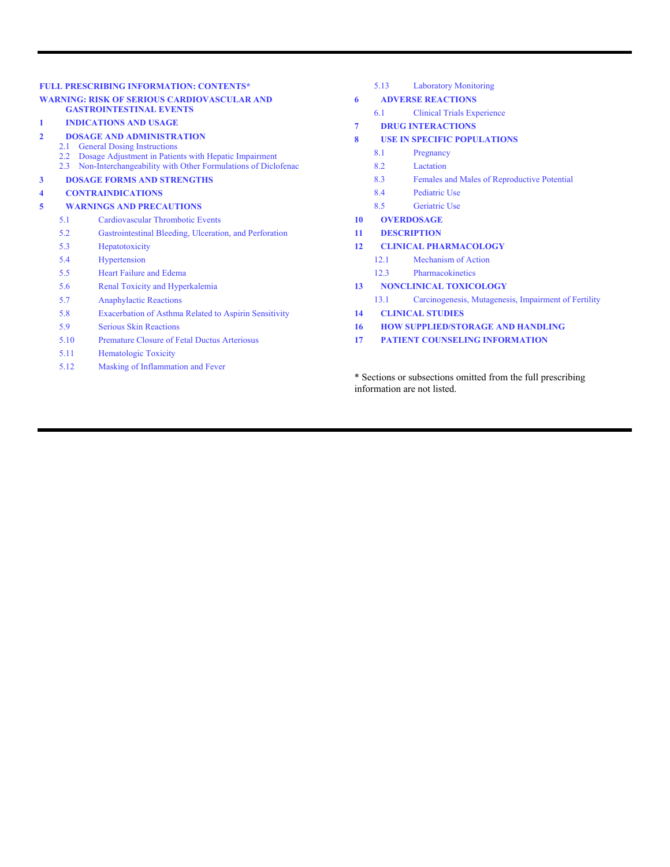#### **FULL PRESCRIBING INFORMATION: CONTENTS\***

#### **WARNING: RISK OF SERIOUS CARDIOVASCULAR AND GASTROINTESTINAL EVENTS**

#### **1 INDICATIONS AND USAGE**

#### **2 DOSAGE AND ADMINISTRATION**

- 2.1 General Dosing Instructions
- 2.2 Dosage Adjustment in Patients with Hepatic Impairment
- 2.3 Non-Interchangeability with Other Formulations of Diclofenac
- **3 DOSAGE FORMS AND STRENGTHS**

#### **4 CONTRAINDICATIONS**

#### **5 WARNINGS AND PRECAUTIONS**

- 5.1 Cardiovascular Thrombotic Events
- 5.2 Gastrointestinal Bleeding, Ulceration, and Perforation
- 5.3 Hepatotoxicity
- 5.4 Hypertension
- 5.5 Heart Failure and Edema
- 5.6 Renal Toxicity and Hyperkalemia
- 5.7 Anaphylactic Reactions
- 5.8 Exacerbation of Asthma Related to Aspirin Sensitivity
- 5.9 Serious Skin Reactions
- 5.10 Premature Closure of Fetal Ductus Arteriosus
- 5.11 Hematologic Toxicity
- 5.12 Masking of Inflammation and Fever

5.13 Laboratory Monitoring

#### **6 ADVERSE REACTIONS**

- 6.1 Clinical Trials Experience
- **7 DRUG INTERACTIONS**
- **8 USE IN SPECIFIC POPULATIONS**
	- 8.1 Pregnancy
		- 8.2 Lactation
		- 8.3 Females and Males of Reproductive Potential
		- 8.4 Pediatric Use
		- 8.5 Geriatric Use
- **10 OVERDOSAGE**
- **11 DESCRIPTION**
- **12 CLINICAL PHARMACOLOGY**
	- 12.1 Mechanism of Action
	- 12.3 Pharmacokinetics
- **13 NONCLINICAL TOXICOLOGY**
	- 13.1 Carcinogenesis, Mutagenesis, Impairment of Fertility
- **14 CLINICAL STUDIES**
- **16 HOW SUPPLIED/STORAGE AND HANDLING**
- **17 PATIENT COUNSELING INFORMATION**

\* Sections or subsections omitted from the full prescribing information are not listed.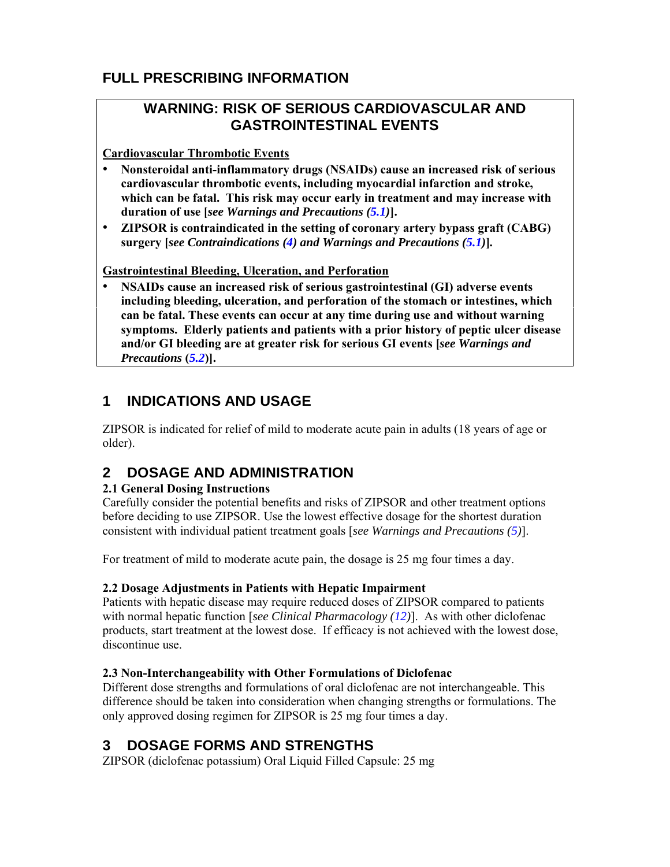# **FULL PRESCRIBING INFORMATION**

# **WARNING: RISK OF SERIOUS CARDIOVASCULAR AND GASTROINTESTINAL EVENTS**

**Cardiovascular Thrombotic Events** 

- **Nonsteroidal anti-inflammatory drugs (NSAIDs) cause an increased risk of serious cardiovascular thrombotic events, including myocardial infarction and stroke, which can be fatal. This risk may occur early in treatment and may increase with duration of use [***see Warnings and Precautions (5.1)***].**
- **ZIPSOR is contraindicated in the setting of coronary artery bypass graft (CABG) surgery [***see Contraindications (4) and Warnings and Precautions (5.1)***]***.*

**Gastrointestinal Bleeding, Ulceration, and Perforation** 

• **NSAIDs cause an increased risk of serious gastrointestinal (GI) adverse events including bleeding, ulceration, and perforation of the stomach or intestines, which can be fatal. These events can occur at any time during use and without warning symptoms. Elderly patients and patients with a prior history of peptic ulcer disease and/or GI bleeding are at greater risk for serious GI events [***see Warnings and Precautions* **(***5.2***)].**

# **1 INDICATIONS AND USAGE**

ZIPSOR is indicated for relief of mild to moderate acute pain in adults (18 years of age or older).

# **2 DOSAGE AND ADMINISTRATION**

## **2.1 General Dosing Instructions**

Carefully consider the potential benefits and risks of ZIPSOR and other treatment options before deciding to use ZIPSOR. Use the lowest effective dosage for the shortest duration consistent with individual patient treatment goals [*see Warnings and Precautions (5)*].

For treatment of mild to moderate acute pain, the dosage is 25 mg four times a day.

## **2.2 Dosage Adjustments in Patients with Hepatic Impairment**

Patients with hepatic disease may require reduced doses of ZIPSOR compared to patients with normal hepatic function [*see Clinical Pharmacology (12)*]. As with other diclofenac products, start treatment at the lowest dose. If efficacy is not achieved with the lowest dose, discontinue use.

## **2.3 Non-Interchangeability with Other Formulations of Diclofenac**

Different dose strengths and formulations of oral diclofenac are not interchangeable. This difference should be taken into consideration when changing strengths or formulations. The only approved dosing regimen for ZIPSOR is 25 mg four times a day.

# **3 DOSAGE FORMS AND STRENGTHS**

ZIPSOR (diclofenac potassium) Oral Liquid Filled Capsule: 25 mg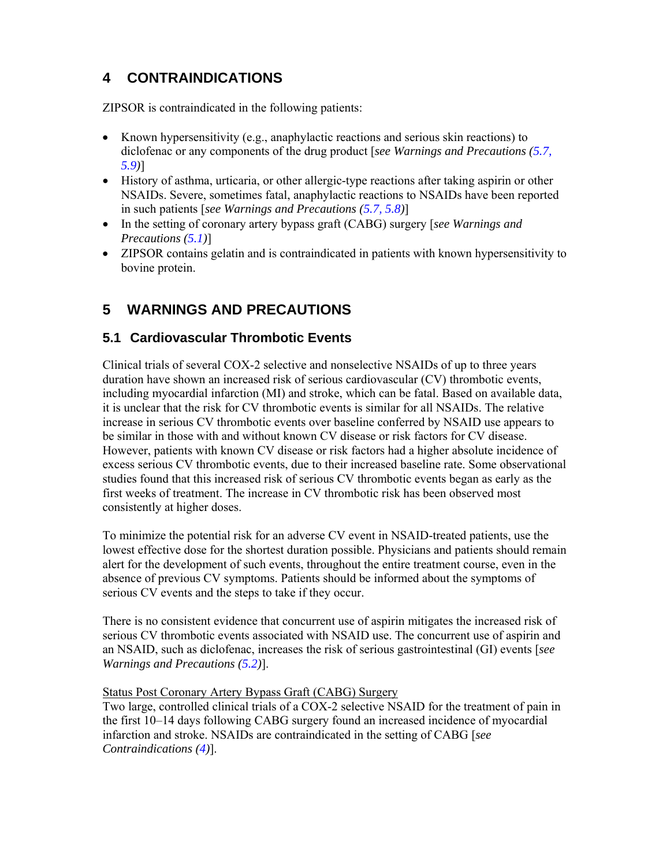# **4 CONTRAINDICATIONS**

ZIPSOR is contraindicated in the following patients:

- Known hypersensitivity (e.g., anaphylactic reactions and serious skin reactions) to diclofenac or any components of the drug product [*see Warnings and Precautions (5.7, 5.9)*]
- History of asthma, urticaria, or other allergic-type reactions after taking aspirin or other NSAIDs. Severe, sometimes fatal, anaphylactic reactions to NSAIDs have been reported in such patients [*see Warnings and Precautions (5.7, 5.8)*]
- In the setting of coronary artery bypass graft (CABG) surgery [*see Warnings and Precautions (5.1)*]
- ZIPSOR contains gelatin and is contraindicated in patients with known hypersensitivity to bovine protein.

# **5 WARNINGS AND PRECAUTIONS**

# **5.1 Cardiovascular Thrombotic Events**

Clinical trials of several COX-2 selective and nonselective NSAIDs of up to three years duration have shown an increased risk of serious cardiovascular (CV) thrombotic events, including myocardial infarction (MI) and stroke, which can be fatal. Based on available data, it is unclear that the risk for CV thrombotic events is similar for all NSAIDs. The relative increase in serious CV thrombotic events over baseline conferred by NSAID use appears to be similar in those with and without known CV disease or risk factors for CV disease. However, patients with known CV disease or risk factors had a higher absolute incidence of excess serious CV thrombotic events, due to their increased baseline rate. Some observational studies found that this increased risk of serious CV thrombotic events began as early as the first weeks of treatment. The increase in CV thrombotic risk has been observed most consistently at higher doses.

To minimize the potential risk for an adverse CV event in NSAID-treated patients, use the lowest effective dose for the shortest duration possible. Physicians and patients should remain alert for the development of such events, throughout the entire treatment course, even in the absence of previous CV symptoms. Patients should be informed about the symptoms of serious CV events and the steps to take if they occur.

There is no consistent evidence that concurrent use of aspirin mitigates the increased risk of serious CV thrombotic events associated with NSAID use. The concurrent use of aspirin and an NSAID, such as diclofenac, increases the risk of serious gastrointestinal (GI) events [*see Warnings and Precautions (5.2)*].

Status Post Coronary Artery Bypass Graft (CABG) Surgery

Two large, controlled clinical trials of a COX-2 selective NSAID for the treatment of pain in the first 10–14 days following CABG surgery found an increased incidence of myocardial infarction and stroke. NSAIDs are contraindicated in the setting of CABG [*see Contraindications (4)*].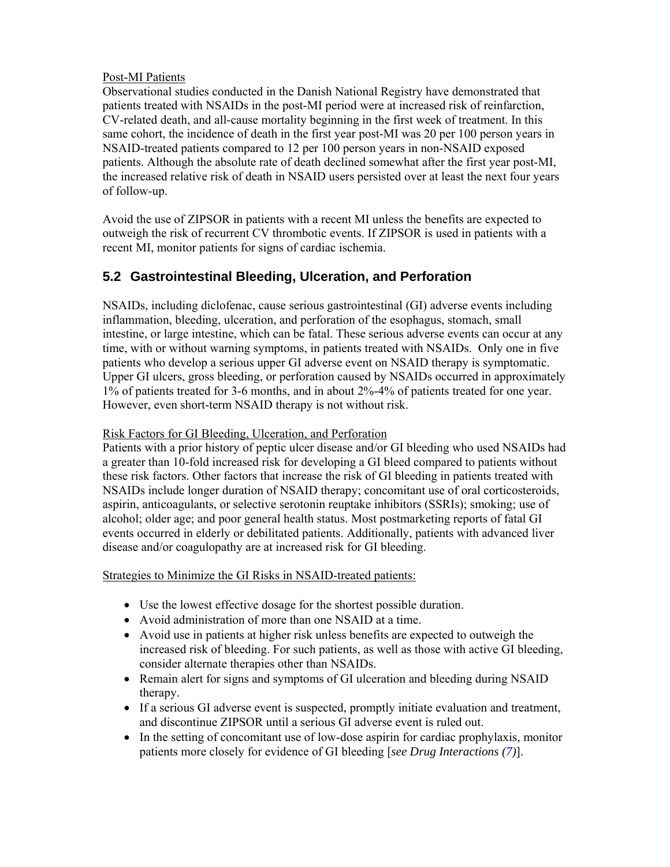### Post-MI Patients

Observational studies conducted in the Danish National Registry have demonstrated that patients treated with NSAIDs in the post-MI period were at increased risk of reinfarction, CV-related death, and all-cause mortality beginning in the first week of treatment. In this same cohort, the incidence of death in the first year post-MI was 20 per 100 person years in NSAID-treated patients compared to 12 per 100 person years in non-NSAID exposed patients. Although the absolute rate of death declined somewhat after the first year post-MI, the increased relative risk of death in NSAID users persisted over at least the next four years of follow-up.

Avoid the use of ZIPSOR in patients with a recent MI unless the benefits are expected to outweigh the risk of recurrent CV thrombotic events. If ZIPSOR is used in patients with a recent MI, monitor patients for signs of cardiac ischemia.

## **5.2 Gastrointestinal Bleeding, Ulceration, and Perforation**

NSAIDs, including diclofenac, cause serious gastrointestinal (GI) adverse events including inflammation, bleeding, ulceration, and perforation of the esophagus, stomach, small intestine, or large intestine, which can be fatal. These serious adverse events can occur at any time, with or without warning symptoms, in patients treated with NSAIDs. Only one in five patients who develop a serious upper GI adverse event on NSAID therapy is symptomatic. Upper GI ulcers, gross bleeding, or perforation caused by NSAIDs occurred in approximately 1% of patients treated for 3-6 months, and in about 2%-4% of patients treated for one year. However, even short-term NSAID therapy is not without risk.

#### Risk Factors for GI Bleeding, Ulceration, and Perforation

Patients with a prior history of peptic ulcer disease and/or GI bleeding who used NSAIDs had a greater than 10-fold increased risk for developing a GI bleed compared to patients without these risk factors. Other factors that increase the risk of GI bleeding in patients treated with NSAIDs include longer duration of NSAID therapy; concomitant use of oral corticosteroids, aspirin, anticoagulants, or selective serotonin reuptake inhibitors (SSRIs); smoking; use of alcohol; older age; and poor general health status. Most postmarketing reports of fatal GI events occurred in elderly or debilitated patients. Additionally, patients with advanced liver disease and/or coagulopathy are at increased risk for GI bleeding.

Strategies to Minimize the GI Risks in NSAID-treated patients:

- Use the lowest effective dosage for the shortest possible duration.
- Avoid administration of more than one NSAID at a time.
- Avoid use in patients at higher risk unless benefits are expected to outweigh the increased risk of bleeding. For such patients, as well as those with active GI bleeding, consider alternate therapies other than NSAIDs.
- Remain alert for signs and symptoms of GI ulceration and bleeding during NSAID therapy.
- If a serious GI adverse event is suspected, promptly initiate evaluation and treatment, and discontinue ZIPSOR until a serious GI adverse event is ruled out.
- In the setting of concomitant use of low-dose aspirin for cardiac prophylaxis, monitor patients more closely for evidence of GI bleeding [*see Drug Interactions (7)*].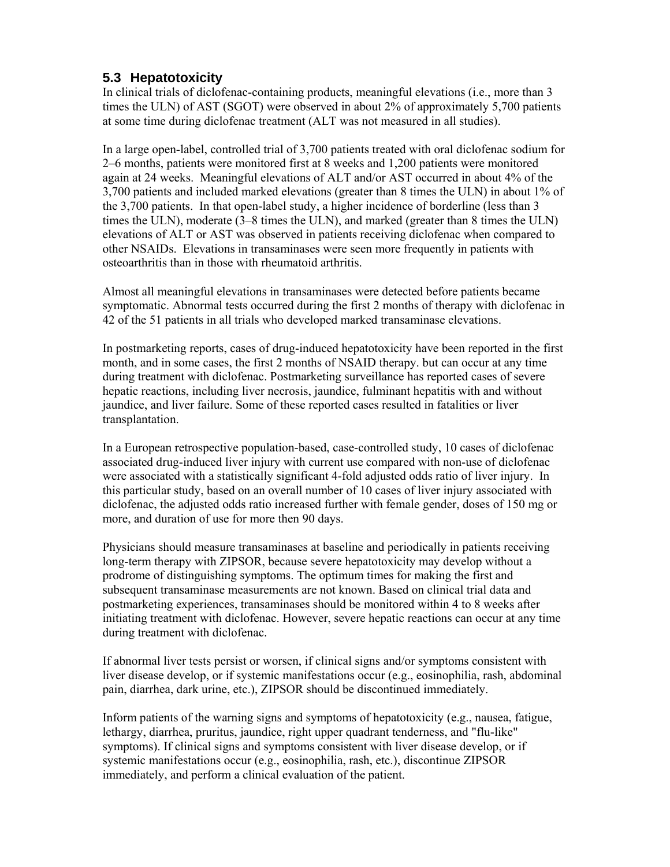# **5.3 Hepatotoxicity**

In clinical trials of diclofenac-containing products, meaningful elevations (i.e., more than 3 times the ULN) of AST (SGOT) were observed in about 2% of approximately 5,700 patients at some time during diclofenac treatment (ALT was not measured in all studies).

In a large open-label, controlled trial of 3,700 patients treated with oral diclofenac sodium for 2–6 months, patients were monitored first at 8 weeks and 1,200 patients were monitored again at 24 weeks. Meaningful elevations of ALT and/or AST occurred in about 4% of the 3,700 patients and included marked elevations (greater than 8 times the ULN) in about 1% of the 3,700 patients. In that open-label study, a higher incidence of borderline (less than 3 times the ULN), moderate (3–8 times the ULN), and marked (greater than 8 times the ULN) elevations of ALT or AST was observed in patients receiving diclofenac when compared to other NSAIDs. Elevations in transaminases were seen more frequently in patients with osteoarthritis than in those with rheumatoid arthritis.

Almost all meaningful elevations in transaminases were detected before patients became symptomatic. Abnormal tests occurred during the first 2 months of therapy with diclofenac in 42 of the 51 patients in all trials who developed marked transaminase elevations.

In postmarketing reports, cases of drug-induced hepatotoxicity have been reported in the first month, and in some cases, the first 2 months of NSAID therapy. but can occur at any time during treatment with diclofenac. Postmarketing surveillance has reported cases of severe hepatic reactions, including liver necrosis, jaundice, fulminant hepatitis with and without jaundice, and liver failure. Some of these reported cases resulted in fatalities or liver transplantation.

In a European retrospective population-based, case-controlled study, 10 cases of diclofenac associated drug-induced liver injury with current use compared with non-use of diclofenac were associated with a statistically significant 4-fold adjusted odds ratio of liver injury. In this particular study, based on an overall number of 10 cases of liver injury associated with diclofenac, the adjusted odds ratio increased further with female gender, doses of 150 mg or more, and duration of use for more then 90 days.

Physicians should measure transaminases at baseline and periodically in patients receiving long-term therapy with ZIPSOR, because severe hepatotoxicity may develop without a prodrome of distinguishing symptoms. The optimum times for making the first and subsequent transaminase measurements are not known. Based on clinical trial data and postmarketing experiences, transaminases should be monitored within 4 to 8 weeks after initiating treatment with diclofenac. However, severe hepatic reactions can occur at any time during treatment with diclofenac.

If abnormal liver tests persist or worsen, if clinical signs and/or symptoms consistent with liver disease develop, or if systemic manifestations occur (e.g., eosinophilia, rash, abdominal pain, diarrhea, dark urine, etc.), ZIPSOR should be discontinued immediately.

Inform patients of the warning signs and symptoms of hepatotoxicity (e.g., nausea, fatigue, lethargy, diarrhea, pruritus, jaundice, right upper quadrant tenderness, and "flu-like" symptoms). If clinical signs and symptoms consistent with liver disease develop, or if systemic manifestations occur (e.g., eosinophilia, rash, etc.), discontinue ZIPSOR immediately, and perform a clinical evaluation of the patient.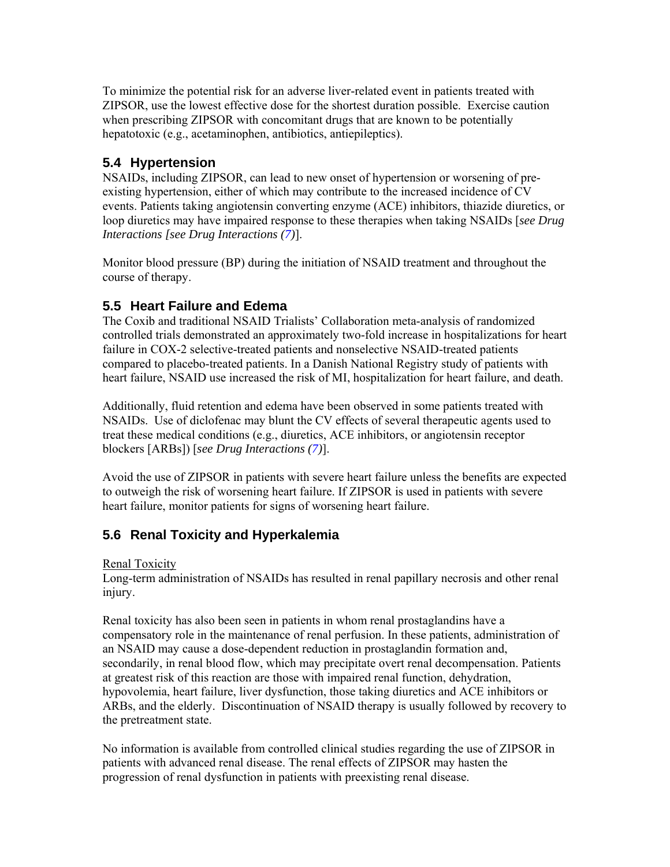To minimize the potential risk for an adverse liver-related event in patients treated with ZIPSOR, use the lowest effective dose for the shortest duration possible. Exercise caution when prescribing ZIPSOR with concomitant drugs that are known to be potentially hepatotoxic (e.g., acetaminophen, antibiotics, antiepileptics).

## **5.4 Hypertension**

NSAIDs, including ZIPSOR, can lead to new onset of hypertension or worsening of preexisting hypertension, either of which may contribute to the increased incidence of CV events. Patients taking angiotensin converting enzyme (ACE) inhibitors, thiazide diuretics, or loop diuretics may have impaired response to these therapies when taking NSAIDs [*see Drug Interactions [see Drug Interactions (7)*].

Monitor blood pressure (BP) during the initiation of NSAID treatment and throughout the course of therapy.

## **5.5 Heart Failure and Edema**

The Coxib and traditional NSAID Trialists' Collaboration meta-analysis of randomized controlled trials demonstrated an approximately two-fold increase in hospitalizations for heart failure in COX-2 selective-treated patients and nonselective NSAID-treated patients compared to placebo-treated patients. In a Danish National Registry study of patients with heart failure, NSAID use increased the risk of MI, hospitalization for heart failure, and death.

Additionally, fluid retention and edema have been observed in some patients treated with NSAIDs. Use of diclofenac may blunt the CV effects of several therapeutic agents used to treat these medical conditions (e.g., diuretics, ACE inhibitors, or angiotensin receptor blockers [ARBs]) [*see Drug Interactions (7)*].

Avoid the use of ZIPSOR in patients with severe heart failure unless the benefits are expected to outweigh the risk of worsening heart failure. If ZIPSOR is used in patients with severe heart failure, monitor patients for signs of worsening heart failure.

## **5.6 Renal Toxicity and Hyperkalemia**

Renal Toxicity

Long-term administration of NSAIDs has resulted in renal papillary necrosis and other renal injury.

Renal toxicity has also been seen in patients in whom renal prostaglandins have a compensatory role in the maintenance of renal perfusion. In these patients, administration of an NSAID may cause a dose-dependent reduction in prostaglandin formation and, secondarily, in renal blood flow, which may precipitate overt renal decompensation. Patients at greatest risk of this reaction are those with impaired renal function, dehydration, hypovolemia, heart failure, liver dysfunction, those taking diuretics and ACE inhibitors or ARBs, and the elderly. Discontinuation of NSAID therapy is usually followed by recovery to the pretreatment state.

No information is available from controlled clinical studies regarding the use of ZIPSOR in patients with advanced renal disease. The renal effects of ZIPSOR may hasten the progression of renal dysfunction in patients with preexisting renal disease.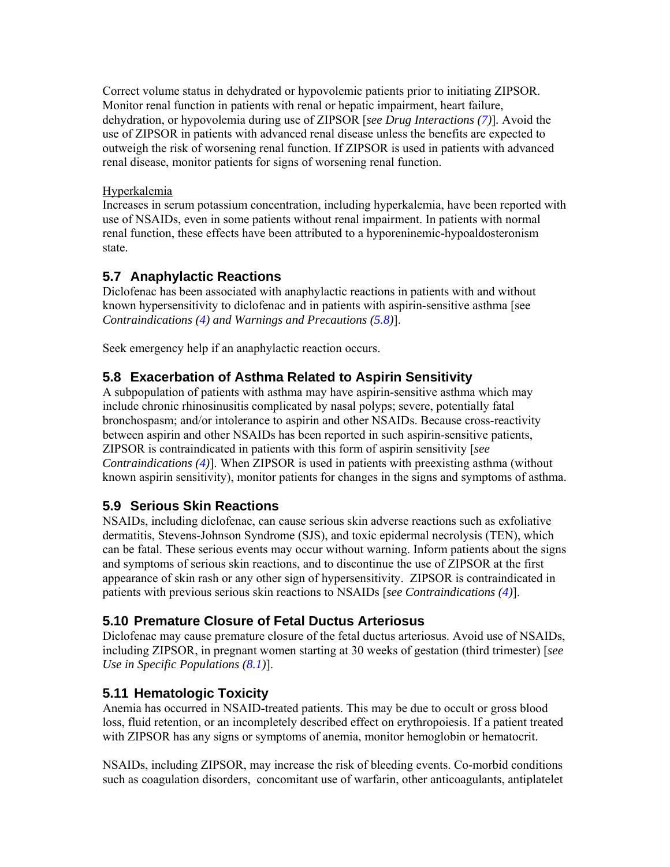Correct volume status in dehydrated or hypovolemic patients prior to initiating ZIPSOR. Monitor renal function in patients with renal or hepatic impairment, heart failure, dehydration, or hypovolemia during use of ZIPSOR [*see Drug Interactions (7)*]*.* Avoid the use of ZIPSOR in patients with advanced renal disease unless the benefits are expected to outweigh the risk of worsening renal function. If ZIPSOR is used in patients with advanced renal disease, monitor patients for signs of worsening renal function.

### Hyperkalemia

Increases in serum potassium concentration, including hyperkalemia, have been reported with use of NSAIDs, even in some patients without renal impairment. In patients with normal renal function, these effects have been attributed to a hyporeninemic-hypoaldosteronism state.

## **5.7 Anaphylactic Reactions**

Diclofenac has been associated with anaphylactic reactions in patients with and without known hypersensitivity to diclofenac and in patients with aspirin-sensitive asthma [see *Contraindications (4) and Warnings and Precautions (5.8)*].

Seek emergency help if an anaphylactic reaction occurs.

### **5.8 Exacerbation of Asthma Related to Aspirin Sensitivity**

A subpopulation of patients with asthma may have aspirin-sensitive asthma which may include chronic rhinosinusitis complicated by nasal polyps; severe, potentially fatal bronchospasm; and/or intolerance to aspirin and other NSAIDs. Because cross-reactivity between aspirin and other NSAIDs has been reported in such aspirin-sensitive patients, ZIPSOR is contraindicated in patients with this form of aspirin sensitivity [*see Contraindications (4)*]. When ZIPSOR is used in patients with preexisting asthma (without known aspirin sensitivity), monitor patients for changes in the signs and symptoms of asthma.

## **5.9 Serious Skin Reactions**

NSAIDs, including diclofenac, can cause serious skin adverse reactions such as exfoliative dermatitis, Stevens-Johnson Syndrome (SJS), and toxic epidermal necrolysis (TEN), which can be fatal. These serious events may occur without warning. Inform patients about the signs and symptoms of serious skin reactions, and to discontinue the use of ZIPSOR at the first appearance of skin rash or any other sign of hypersensitivity. ZIPSOR is contraindicated in patients with previous serious skin reactions to NSAIDs [*see Contraindications (4)*].

### **5.10 Premature Closure of Fetal Ductus Arteriosus**

Diclofenac may cause premature closure of the fetal ductus arteriosus. Avoid use of NSAIDs, including ZIPSOR, in pregnant women starting at 30 weeks of gestation (third trimester) [*see Use in Specific Populations (8.1)*].

#### **5.11 Hematologic Toxicity**

Anemia has occurred in NSAID-treated patients. This may be due to occult or gross blood loss, fluid retention, or an incompletely described effect on erythropoiesis. If a patient treated with ZIPSOR has any signs or symptoms of anemia, monitor hemoglobin or hematocrit.

NSAIDs, including ZIPSOR, may increase the risk of bleeding events. Co-morbid conditions such as coagulation disorders, concomitant use of warfarin, other anticoagulants, antiplatelet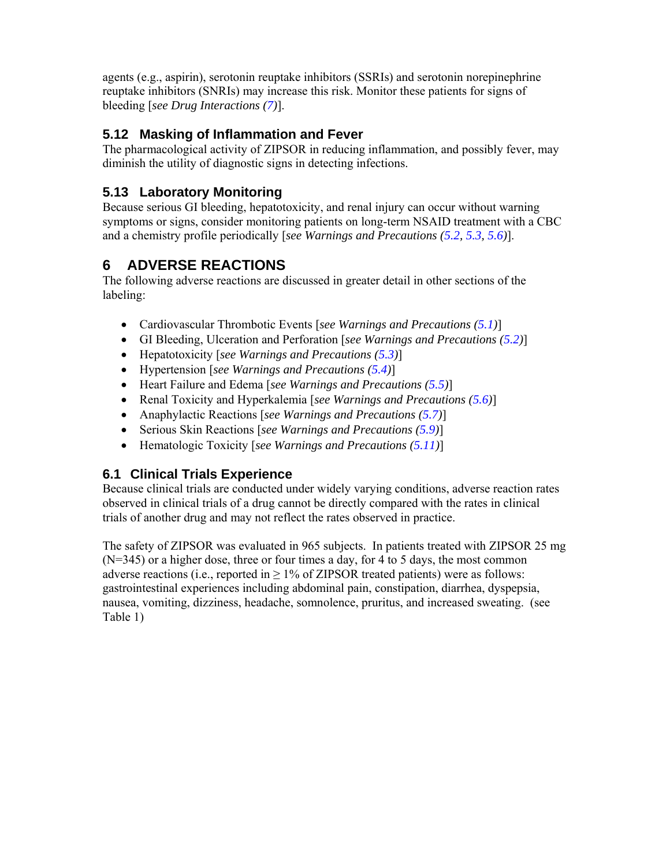agents (e.g., aspirin), serotonin reuptake inhibitors (SSRIs) and serotonin norepinephrine reuptake inhibitors (SNRIs) may increase this risk. Monitor these patients for signs of bleeding [*see Drug Interactions (7)*].

# **5.12 Masking of Inflammation and Fever**

The pharmacological activity of ZIPSOR in reducing inflammation, and possibly fever, may diminish the utility of diagnostic signs in detecting infections.

# **5.13 Laboratory Monitoring**

Because serious GI bleeding, hepatotoxicity, and renal injury can occur without warning symptoms or signs, consider monitoring patients on long-term NSAID treatment with a CBC and a chemistry profile periodically [*see Warnings and Precautions (5.2, 5.3, 5.6)*].

# **6 ADVERSE REACTIONS**

The following adverse reactions are discussed in greater detail in other sections of the labeling:

- Cardiovascular Thrombotic Events [*see Warnings and Precautions (5.1)*]
- GI Bleeding, Ulceration and Perforation [*see Warnings and Precautions (5.2)*]
- Hepatotoxicity [*see Warnings and Precautions (5.3)*]
- Hypertension [*see Warnings and Precautions (5.4)*]
- Heart Failure and Edema [*see Warnings and Precautions (5.5)*]
- Renal Toxicity and Hyperkalemia [*see Warnings and Precautions (5.6)*]
- Anaphylactic Reactions [*see Warnings and Precautions (5.7)*]
- Serious Skin Reactions [*see Warnings and Precautions (5.9)*]
- Hematologic Toxicity [*see Warnings and Precautions (5.11)*]

## **6.1 Clinical Trials Experience**

Because clinical trials are conducted under widely varying conditions, adverse reaction rates observed in clinical trials of a drug cannot be directly compared with the rates in clinical trials of another drug and may not reflect the rates observed in practice.

The safety of ZIPSOR was evaluated in 965 subjects. In patients treated with ZIPSOR 25 mg (N=345) or a higher dose, three or four times a day, for 4 to 5 days, the most common adverse reactions (i.e., reported in  $\geq$  1% of ZIPSOR treated patients) were as follows: gastrointestinal experiences including abdominal pain, constipation, diarrhea, dyspepsia, nausea, vomiting, dizziness, headache, somnolence, pruritus, and increased sweating. (see Table 1)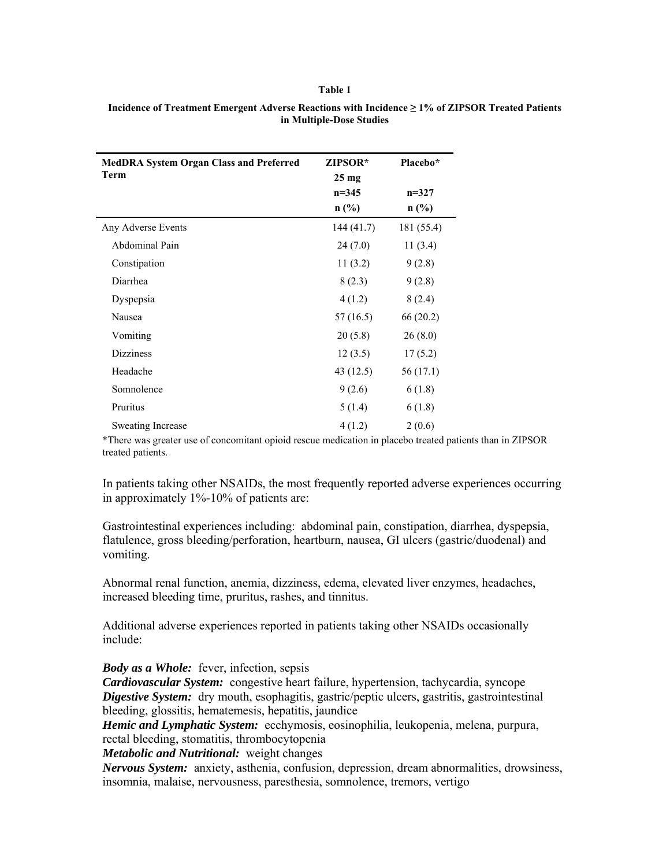#### **Table 1**

| <b>MedDRA System Organ Class and Preferred</b> | ZIPSOR*         | Placebo*   |
|------------------------------------------------|-----------------|------------|
| Term                                           | $25 \text{ mg}$ |            |
|                                                | $n = 345$       | $n = 327$  |
|                                                | $n$ (%)         | $n$ (%)    |
| Any Adverse Events                             | 144 (41.7)      | 181 (55.4) |
| Abdominal Pain                                 | 24(7.0)         | 11(3.4)    |
| Constipation                                   | 11(3.2)         | 9(2.8)     |
| Diarrhea                                       | 8(2.3)          | 9(2.8)     |
| Dyspepsia                                      | 4(1.2)          | 8(2.4)     |
| Nausea                                         | 57 (16.5)       | 66(20.2)   |
| Vomiting                                       | 20(5.8)         | 26(8.0)    |
| <b>Dizziness</b>                               | 12(3.5)         | 17(5.2)    |
| Headache                                       | 43 (12.5)       | 56(17.1)   |
| Somnolence                                     | 9(2.6)          | 6(1.8)     |
| Pruritus                                       | 5(1.4)          | 6(1.8)     |
| <b>Sweating Increase</b>                       | 4(1.2)          | 2(0.6)     |

#### **Incidence of Treatment Emergent Adverse Reactions with Incidence ≥ 1% of ZIPSOR Treated Patients in Multiple-Dose Studies**

\*There was greater use of concomitant opioid rescue medication in placebo treated patients than in ZIPSOR treated patients.

In patients taking other NSAIDs, the most frequently reported adverse experiences occurring in approximately 1%-10% of patients are:

Gastrointestinal experiences including: abdominal pain, constipation, diarrhea, dyspepsia, flatulence, gross bleeding/perforation, heartburn, nausea, GI ulcers (gastric/duodenal) and vomiting.

Abnormal renal function, anemia, dizziness, edema, elevated liver enzymes, headaches, increased bleeding time, pruritus, rashes, and tinnitus.

Additional adverse experiences reported in patients taking other NSAIDs occasionally include:

*Body as a Whole:* fever, infection, sepsis

*Cardiovascular System:* congestive heart failure, hypertension, tachycardia, syncope *Digestive System:* dry mouth, esophagitis, gastric/peptic ulcers, gastritis, gastrointestinal bleeding, glossitis, hematemesis, hepatitis, jaundice

*Hemic and Lymphatic System:* ecchymosis, eosinophilia, leukopenia, melena, purpura, rectal bleeding, stomatitis, thrombocytopenia

*Metabolic and Nutritional:* weight changes

*Nervous System:* anxiety, asthenia, confusion, depression, dream abnormalities, drowsiness, insomnia, malaise, nervousness, paresthesia, somnolence, tremors, vertigo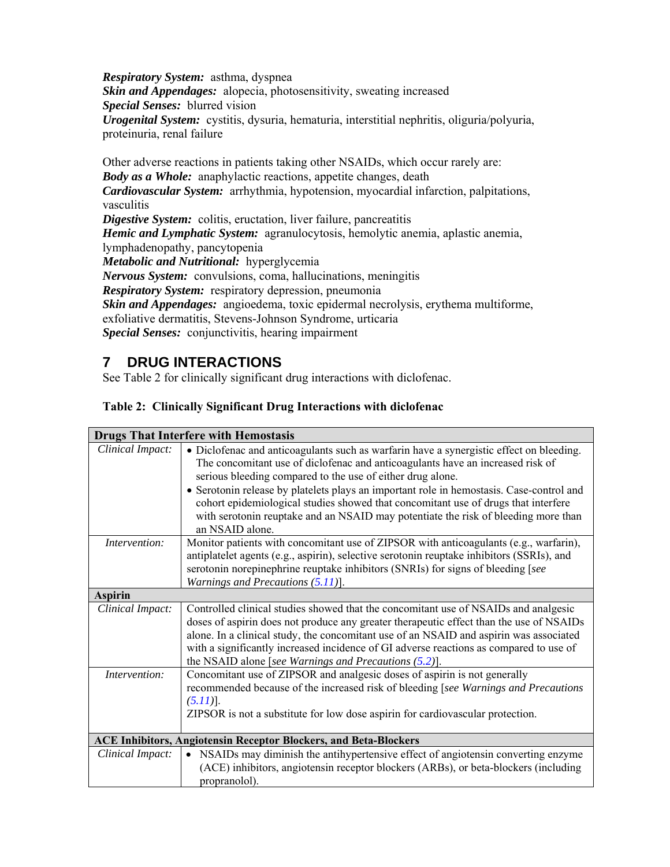*Respiratory System:* asthma, dyspnea *Skin and Appendages:* alopecia, photosensitivity, sweating increased *Special Senses:* blurred vision *Urogenital System:* cystitis, dysuria, hematuria, interstitial nephritis, oliguria/polyuria, proteinuria, renal failure

Other adverse reactions in patients taking other NSAIDs, which occur rarely are: *Body as a Whole:* anaphylactic reactions, appetite changes, death *Cardiovascular System:* arrhythmia, hypotension, myocardial infarction, palpitations, vasculitis *Digestive System:* colitis, eructation, liver failure, pancreatitis *Hemic and Lymphatic System:* agranulocytosis, hemolytic anemia, aplastic anemia, lymphadenopathy, pancytopenia *Metabolic and Nutritional:* hyperglycemia *Nervous System:* convulsions, coma, hallucinations, meningitis *Respiratory System:* respiratory depression, pneumonia *Skin and Appendages:* angioedema, toxic epidermal necrolysis, erythema multiforme, exfoliative dermatitis, Stevens-Johnson Syndrome, urticaria *Special Senses:* conjunctivitis, hearing impairment

# **7 DRUG INTERACTIONS**

See Table 2 for clinically significant drug interactions with diclofenac.

## **Table 2: Clinically Significant Drug Interactions with diclofenac**

| <b>Drugs That Interfere with Hemostasis</b>                             |                                                                                                                                                                                                                                                                                                                                                                                                                                                                                                                                    |  |  |  |
|-------------------------------------------------------------------------|------------------------------------------------------------------------------------------------------------------------------------------------------------------------------------------------------------------------------------------------------------------------------------------------------------------------------------------------------------------------------------------------------------------------------------------------------------------------------------------------------------------------------------|--|--|--|
| Clinical Impact:                                                        | • Diclofenac and anticoagulants such as warfarin have a synergistic effect on bleeding.<br>The concomitant use of diclofenac and anticoagulants have an increased risk of<br>serious bleeding compared to the use of either drug alone.<br>• Serotonin release by platelets plays an important role in hemostasis. Case-control and<br>cohort epidemiological studies showed that concomitant use of drugs that interfere<br>with serotonin reuptake and an NSAID may potentiate the risk of bleeding more than<br>an NSAID alone. |  |  |  |
| Intervention:                                                           | Monitor patients with concomitant use of ZIPSOR with anticoagulants (e.g., warfarin),<br>antiplatelet agents (e.g., aspirin), selective serotonin reuptake inhibitors (SSRIs), and<br>serotonin norepinephrine reuptake inhibitors (SNRIs) for signs of bleeding [see<br>Warnings and Precautions $(5.11)$ ].                                                                                                                                                                                                                      |  |  |  |
| <b>Aspirin</b>                                                          |                                                                                                                                                                                                                                                                                                                                                                                                                                                                                                                                    |  |  |  |
| Clinical Impact:                                                        | Controlled clinical studies showed that the concomitant use of NSAIDs and analgesic<br>doses of aspirin does not produce any greater therapeutic effect than the use of NSAIDs<br>alone. In a clinical study, the concomitant use of an NSAID and aspirin was associated<br>with a significantly increased incidence of GI adverse reactions as compared to use of<br>the NSAID alone [see Warnings and Precautions $(5.2)$ ].                                                                                                     |  |  |  |
| Intervention:                                                           | Concomitant use of ZIPSOR and analgesic doses of aspirin is not generally<br>recommended because of the increased risk of bleeding [see Warnings and Precautions<br>$(5.11)$ ].<br>ZIPSOR is not a substitute for low dose aspirin for cardiovascular protection.                                                                                                                                                                                                                                                                  |  |  |  |
| <b>ACE Inhibitors, Angiotensin Receptor Blockers, and Beta-Blockers</b> |                                                                                                                                                                                                                                                                                                                                                                                                                                                                                                                                    |  |  |  |
| Clinical Impact:                                                        | NSAIDs may diminish the antihypertensive effect of angiotensin converting enzyme<br>$\bullet$<br>(ACE) inhibitors, angiotensin receptor blockers (ARBs), or beta-blockers (including<br>propranolol).                                                                                                                                                                                                                                                                                                                              |  |  |  |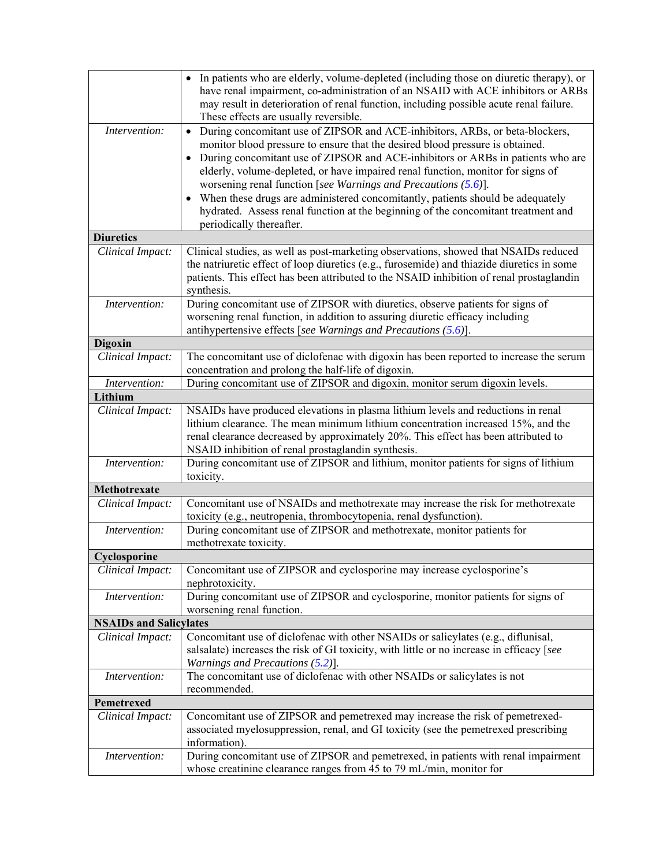|                               | In patients who are elderly, volume-depleted (including those on diuretic therapy), or<br>have renal impairment, co-administration of an NSAID with ACE inhibitors or ARBs<br>may result in deterioration of renal function, including possible acute renal failure.<br>These effects are usually reversible.                                                                                                                                                                                                                                                                                                                         |  |  |  |
|-------------------------------|---------------------------------------------------------------------------------------------------------------------------------------------------------------------------------------------------------------------------------------------------------------------------------------------------------------------------------------------------------------------------------------------------------------------------------------------------------------------------------------------------------------------------------------------------------------------------------------------------------------------------------------|--|--|--|
| Intervention:                 | During concomitant use of ZIPSOR and ACE-inhibitors, ARBs, or beta-blockers,<br>$\bullet$<br>monitor blood pressure to ensure that the desired blood pressure is obtained.<br>During concomitant use of ZIPSOR and ACE-inhibitors or ARBs in patients who are<br>$\bullet$<br>elderly, volume-depleted, or have impaired renal function, monitor for signs of<br>worsening renal function [see Warnings and Precautions $(5.6)$ ].<br>When these drugs are administered concomitantly, patients should be adequately<br>hydrated. Assess renal function at the beginning of the concomitant treatment and<br>periodically thereafter. |  |  |  |
| <b>Diuretics</b>              |                                                                                                                                                                                                                                                                                                                                                                                                                                                                                                                                                                                                                                       |  |  |  |
| Clinical Impact:              | Clinical studies, as well as post-marketing observations, showed that NSAIDs reduced<br>the natriuretic effect of loop diuretics (e.g., furosemide) and thiazide diuretics in some<br>patients. This effect has been attributed to the NSAID inhibition of renal prostaglandin<br>synthesis.                                                                                                                                                                                                                                                                                                                                          |  |  |  |
| Intervention:                 | During concomitant use of ZIPSOR with diuretics, observe patients for signs of<br>worsening renal function, in addition to assuring diuretic efficacy including<br>antihypertensive effects [see Warnings and Precautions $(5.6)$ ].                                                                                                                                                                                                                                                                                                                                                                                                  |  |  |  |
| <b>Digoxin</b>                |                                                                                                                                                                                                                                                                                                                                                                                                                                                                                                                                                                                                                                       |  |  |  |
| Clinical Impact:              | The concomitant use of diclofenac with digoxin has been reported to increase the serum<br>concentration and prolong the half-life of digoxin.                                                                                                                                                                                                                                                                                                                                                                                                                                                                                         |  |  |  |
| Intervention:                 | During concomitant use of ZIPSOR and digoxin, monitor serum digoxin levels.                                                                                                                                                                                                                                                                                                                                                                                                                                                                                                                                                           |  |  |  |
| Lithium                       |                                                                                                                                                                                                                                                                                                                                                                                                                                                                                                                                                                                                                                       |  |  |  |
| Clinical Impact:              | NSAIDs have produced elevations in plasma lithium levels and reductions in renal<br>lithium clearance. The mean minimum lithium concentration increased 15%, and the<br>renal clearance decreased by approximately 20%. This effect has been attributed to<br>NSAID inhibition of renal prostaglandin synthesis.                                                                                                                                                                                                                                                                                                                      |  |  |  |
| Intervention:                 | During concomitant use of ZIPSOR and lithium, monitor patients for signs of lithium<br>toxicity.                                                                                                                                                                                                                                                                                                                                                                                                                                                                                                                                      |  |  |  |
| Methotrexate                  |                                                                                                                                                                                                                                                                                                                                                                                                                                                                                                                                                                                                                                       |  |  |  |
| Clinical Impact:              | Concomitant use of NSAIDs and methotrexate may increase the risk for methotrexate<br>toxicity (e.g., neutropenia, thrombocytopenia, renal dysfunction).                                                                                                                                                                                                                                                                                                                                                                                                                                                                               |  |  |  |
| Intervention:                 | During concomitant use of ZIPSOR and methotrexate, monitor patients for<br>methotrexate toxicity.                                                                                                                                                                                                                                                                                                                                                                                                                                                                                                                                     |  |  |  |
| Cyclosporine                  |                                                                                                                                                                                                                                                                                                                                                                                                                                                                                                                                                                                                                                       |  |  |  |
| Clinical Impact:              | Concomitant use of ZIPSOR and cyclosporine may increase cyclosporine's<br>nephrotoxicity.                                                                                                                                                                                                                                                                                                                                                                                                                                                                                                                                             |  |  |  |
| Intervention:                 | During concomitant use of ZIPSOR and cyclosporine, monitor patients for signs of<br>worsening renal function.                                                                                                                                                                                                                                                                                                                                                                                                                                                                                                                         |  |  |  |
| <b>NSAIDs and Salicylates</b> |                                                                                                                                                                                                                                                                                                                                                                                                                                                                                                                                                                                                                                       |  |  |  |
| Clinical Impact:              | Concomitant use of diclofenac with other NSAIDs or salicylates (e.g., diflunisal,<br>salsalate) increases the risk of GI toxicity, with little or no increase in efficacy [see<br>Warnings and Precautions $(5.2)$ ].                                                                                                                                                                                                                                                                                                                                                                                                                 |  |  |  |
| Intervention:                 | The concomitant use of diclofenac with other NSAIDs or salicylates is not<br>recommended.                                                                                                                                                                                                                                                                                                                                                                                                                                                                                                                                             |  |  |  |
| Pemetrexed                    |                                                                                                                                                                                                                                                                                                                                                                                                                                                                                                                                                                                                                                       |  |  |  |
| Clinical Impact:              | Concomitant use of ZIPSOR and pemetrexed may increase the risk of pemetrexed-<br>associated myelosuppression, renal, and GI toxicity (see the pemetrexed prescribing<br>information).                                                                                                                                                                                                                                                                                                                                                                                                                                                 |  |  |  |
| Intervention:                 | During concomitant use of ZIPSOR and pemetrexed, in patients with renal impairment<br>whose creatinine clearance ranges from 45 to 79 mL/min, monitor for                                                                                                                                                                                                                                                                                                                                                                                                                                                                             |  |  |  |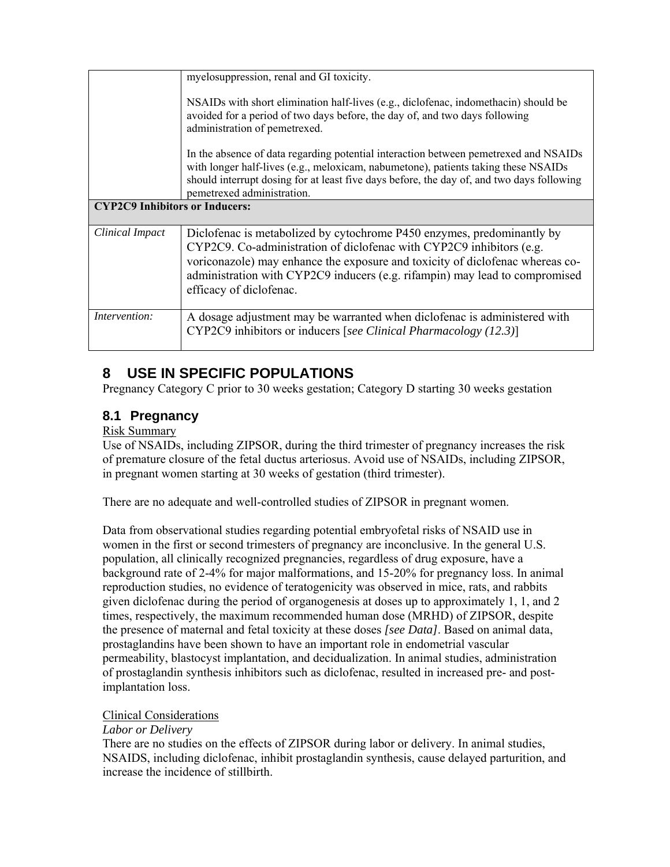|                                       | myelosuppression, renal and GI toxicity.<br>NSAIDs with short elimination half-lives (e.g., diclofenac, indomethacin) should be<br>avoided for a period of two days before, the day of, and two days following<br>administration of pemetrexed.<br>In the absence of data regarding potential interaction between pemetrexed and NSAIDs<br>with longer half-lives (e.g., meloxicam, nabumetone), patients taking these NSAIDs |  |  |
|---------------------------------------|-------------------------------------------------------------------------------------------------------------------------------------------------------------------------------------------------------------------------------------------------------------------------------------------------------------------------------------------------------------------------------------------------------------------------------|--|--|
|                                       | should interrupt dosing for at least five days before, the day of, and two days following<br>pemetrexed administration.                                                                                                                                                                                                                                                                                                       |  |  |
| <b>CYP2C9 Inhibitors or Inducers:</b> |                                                                                                                                                                                                                                                                                                                                                                                                                               |  |  |
| Clinical Impact                       | Diclofenac is metabolized by cytochrome P450 enzymes, predominantly by<br>CYP2C9. Co-administration of diclofenac with CYP2C9 inhibitors (e.g.<br>voriconazole) may enhance the exposure and toxicity of diclofenac whereas co-<br>administration with CYP2C9 inducers (e.g. rifampin) may lead to compromised<br>efficacy of diclofenac.                                                                                     |  |  |
| Intervention:                         | A dosage adjustment may be warranted when diclofenac is administered with<br>CYP2C9 inhibitors or inducers [see Clinical Pharmacology (12.3)]                                                                                                                                                                                                                                                                                 |  |  |

# **8 USE IN SPECIFIC POPULATIONS**

Pregnancy Category C prior to 30 weeks gestation; Category D starting 30 weeks gestation

# **8.1 Pregnancy**

### Risk Summary

Use of NSAIDs, including ZIPSOR, during the third trimester of pregnancy increases the risk of premature closure of the fetal ductus arteriosus. Avoid use of NSAIDs, including ZIPSOR, in pregnant women starting at 30 weeks of gestation (third trimester).

There are no adequate and well-controlled studies of ZIPSOR in pregnant women.

Data from observational studies regarding potential embryofetal risks of NSAID use in women in the first or second trimesters of pregnancy are inconclusive. In the general U.S. population, all clinically recognized pregnancies, regardless of drug exposure, have a background rate of 2-4% for major malformations, and 15-20% for pregnancy loss. In animal reproduction studies, no evidence of teratogenicity was observed in mice, rats, and rabbits given diclofenac during the period of organogenesis at doses up to approximately 1, 1, and 2 times, respectively, the maximum recommended human dose (MRHD) of ZIPSOR, despite the presence of maternal and fetal toxicity at these doses *[see Data]*. Based on animal data, prostaglandins have been shown to have an important role in endometrial vascular permeability, blastocyst implantation, and decidualization. In animal studies, administration of prostaglandin synthesis inhibitors such as diclofenac, resulted in increased pre- and postimplantation loss.

### Clinical Considerations

### *Labor or Delivery*

There are no studies on the effects of ZIPSOR during labor or delivery. In animal studies, NSAIDS, including diclofenac, inhibit prostaglandin synthesis, cause delayed parturition, and increase the incidence of stillbirth.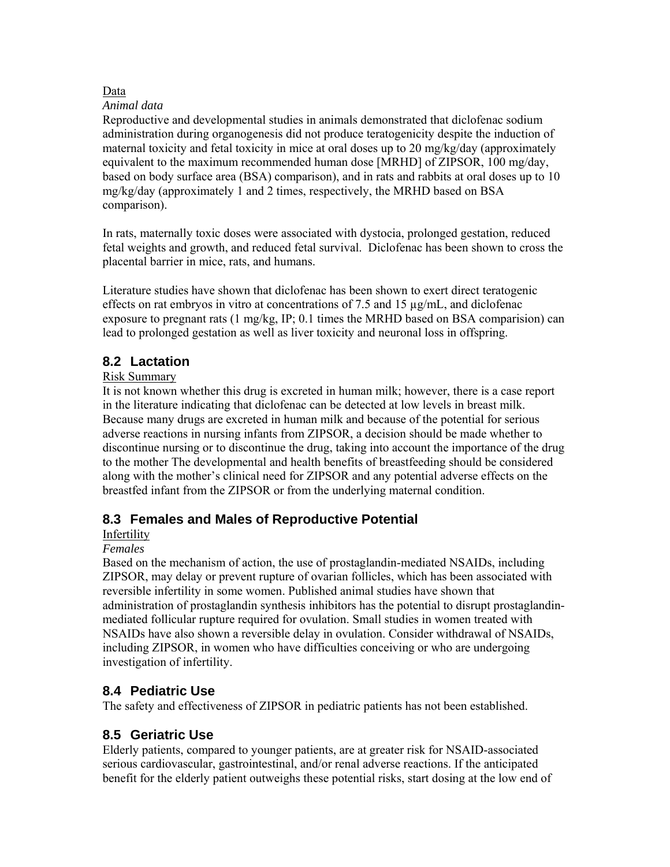### Data

#### *Animal data*

Reproductive and developmental studies in animals demonstrated that diclofenac sodium administration during organogenesis did not produce teratogenicity despite the induction of maternal toxicity and fetal toxicity in mice at oral doses up to 20 mg/kg/day (approximately equivalent to the maximum recommended human dose [MRHD] of ZIPSOR, 100 mg/day, based on body surface area (BSA) comparison), and in rats and rabbits at oral doses up to 10 mg/kg/day (approximately 1 and 2 times, respectively, the MRHD based on BSA comparison).

In rats, maternally toxic doses were associated with dystocia, prolonged gestation, reduced fetal weights and growth, and reduced fetal survival. Diclofenac has been shown to cross the placental barrier in mice, rats, and humans.

Literature studies have shown that diclofenac has been shown to exert direct teratogenic effects on rat embryos in vitro at concentrations of 7.5 and 15  $\mu$ g/mL, and diclofenac exposure to pregnant rats (1 mg/kg, IP; 0.1 times the MRHD based on BSA comparision) can lead to prolonged gestation as well as liver toxicity and neuronal loss in offspring.

## **8.2 Lactation**

### Risk Summary

It is not known whether this drug is excreted in human milk; however, there is a case report in the literature indicating that diclofenac can be detected at low levels in breast milk. Because many drugs are excreted in human milk and because of the potential for serious adverse reactions in nursing infants from ZIPSOR, a decision should be made whether to discontinue nursing or to discontinue the drug, taking into account the importance of the drug to the mother The developmental and health benefits of breastfeeding should be considered along with the mother's clinical need for ZIPSOR and any potential adverse effects on the breastfed infant from the ZIPSOR or from the underlying maternal condition.

## **8.3 Females and Males of Reproductive Potential**

### Infertility

### *Females*

Based on the mechanism of action, the use of prostaglandin-mediated NSAIDs, including ZIPSOR, may delay or prevent rupture of ovarian follicles, which has been associated with reversible infertility in some women. Published animal studies have shown that administration of prostaglandin synthesis inhibitors has the potential to disrupt prostaglandinmediated follicular rupture required for ovulation. Small studies in women treated with NSAIDs have also shown a reversible delay in ovulation. Consider withdrawal of NSAIDs, including ZIPSOR, in women who have difficulties conceiving or who are undergoing investigation of infertility.

## **8.4 Pediatric Use**

The safety and effectiveness of ZIPSOR in pediatric patients has not been established.

## **8.5 Geriatric Use**

Elderly patients, compared to younger patients, are at greater risk for NSAID-associated serious cardiovascular, gastrointestinal, and/or renal adverse reactions. If the anticipated benefit for the elderly patient outweighs these potential risks, start dosing at the low end of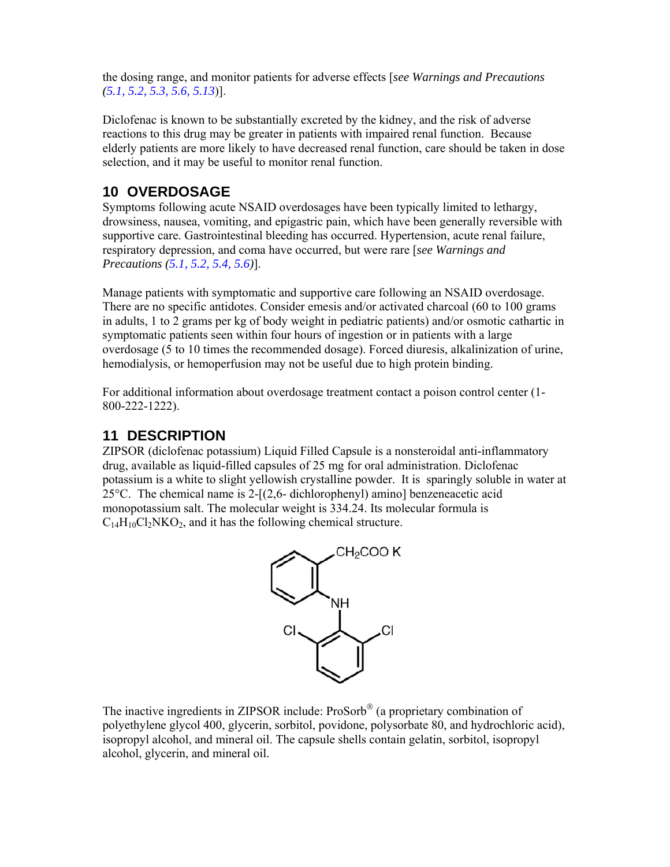the dosing range, and monitor patients for adverse effects [*see Warnings and Precautions (5.1, 5.2, 5.3, 5.6, 5.13*)].

Diclofenac is known to be substantially excreted by the kidney, and the risk of adverse reactions to this drug may be greater in patients with impaired renal function. Because elderly patients are more likely to have decreased renal function, care should be taken in dose selection, and it may be useful to monitor renal function.

# **10 OVERDOSAGE**

Symptoms following acute NSAID overdosages have been typically limited to lethargy, drowsiness, nausea, vomiting, and epigastric pain, which have been generally reversible with supportive care. Gastrointestinal bleeding has occurred. Hypertension, acute renal failure, respiratory depression, and coma have occurred, but were rare [*see Warnings and Precautions (5.1, 5.2, 5.4, 5.6)*].

Manage patients with symptomatic and supportive care following an NSAID overdosage. There are no specific antidotes. Consider emesis and/or activated charcoal (60 to 100 grams in adults, 1 to 2 grams per kg of body weight in pediatric patients) and/or osmotic cathartic in symptomatic patients seen within four hours of ingestion or in patients with a large overdosage (5 to 10 times the recommended dosage). Forced diuresis, alkalinization of urine, hemodialysis, or hemoperfusion may not be useful due to high protein binding.

For additional information about overdosage treatment contact a poison control center (1- 800-222-1222).

# **11 DESCRIPTION**

ZIPSOR (diclofenac potassium) Liquid Filled Capsule is a nonsteroidal anti-inflammatory drug, available as liquid-filled capsules of 25 mg for oral administration. Diclofenac potassium is a white to slight yellowish crystalline powder. It is sparingly soluble in water at 25 $^{\circ}$ C. The chemical name is 2-[(2,6- dichlorophenyl) amino] benzeneacetic acid monopotassium salt. The molecular weight is 334.24. Its molecular formula is  $C_{14}H_{10}Cl_2NKO_2$ , and it has the following chemical structure.



The inactive ingredients in ZIPSOR include:  $Proof^{\circledR}$  (a proprietary combination of polyethylene glycol 400, glycerin, sorbitol, povidone, polysorbate 80, and hydrochloric acid), isopropyl alcohol, and mineral oil. The capsule shells contain gelatin, sorbitol, isopropyl alcohol, glycerin, and mineral oil.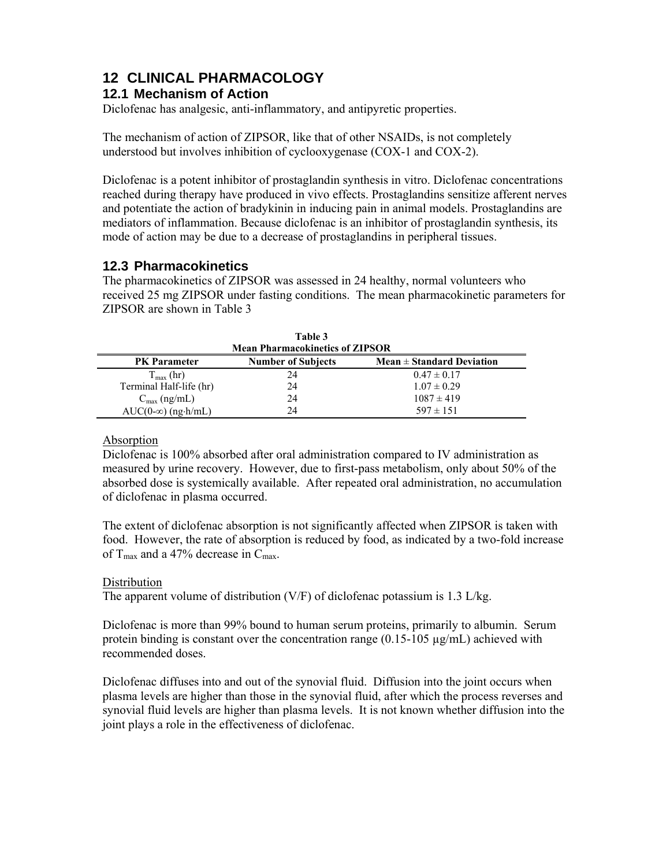# **12 CLINICAL PHARMACOLOGY**

## **12.1 Mechanism of Action**

Diclofenac has analgesic, anti-inflammatory, and antipyretic properties.

The mechanism of action of ZIPSOR, like that of other NSAIDs, is not completely understood but involves inhibition of cyclooxygenase (COX-1 and COX-2).

Diclofenac is a potent inhibitor of prostaglandin synthesis in vitro. Diclofenac concentrations reached during therapy have produced in vivo effects. Prostaglandins sensitize afferent nerves and potentiate the action of bradykinin in inducing pain in animal models. Prostaglandins are mediators of inflammation. Because diclofenac is an inhibitor of prostaglandin synthesis, its mode of action may be due to a decrease of prostaglandins in peripheral tissues.

# **12.3 Pharmacokinetics**

The pharmacokinetics of ZIPSOR was assessed in 24 healthy, normal volunteers who received 25 mg ZIPSOR under fasting conditions. The mean pharmacokinetic parameters for ZIPSOR are shown in Table 3

| Table 3                                                                                                                     |    |                 |  |  |  |
|-----------------------------------------------------------------------------------------------------------------------------|----|-----------------|--|--|--|
| <b>Mean Pharmacokinetics of ZIPSOR</b><br>Mean $\pm$ Standard Deviation<br><b>Number of Subjects</b><br><b>PK</b> Parameter |    |                 |  |  |  |
| $T_{\text{max}}$ (hr)                                                                                                       | 24 | $0.47 \pm 0.17$ |  |  |  |
| Terminal Half-life (hr)                                                                                                     | 24 | $1.07 \pm 0.29$ |  |  |  |
| $C_{\text{max}}$ (ng/mL)                                                                                                    | 24 | $1087 \pm 419$  |  |  |  |
| $AUC(0-\infty)$ (ng $\cdot$ h/mL)                                                                                           | 24 | $597 \pm 151$   |  |  |  |

## Absorption

Diclofenac is 100% absorbed after oral administration compared to IV administration as measured by urine recovery. However, due to first-pass metabolism, only about 50% of the absorbed dose is systemically available. After repeated oral administration, no accumulation of diclofenac in plasma occurred.

The extent of diclofenac absorption is not significantly affected when ZIPSOR is taken with food. However, the rate of absorption is reduced by food, as indicated by a two-fold increase of  $T_{\text{max}}$  and a 47% decrease in  $C_{\text{max}}$ .

## Distribution

The apparent volume of distribution (V/F) of diclofenac potassium is 1.3 L/kg.

Diclofenac is more than 99% bound to human serum proteins, primarily to albumin. Serum protein binding is constant over the concentration range  $(0.15{\text -}105 \text{ µg/mL})$  achieved with recommended doses.

Diclofenac diffuses into and out of the synovial fluid. Diffusion into the joint occurs when plasma levels are higher than those in the synovial fluid, after which the process reverses and synovial fluid levels are higher than plasma levels. It is not known whether diffusion into the joint plays a role in the effectiveness of diclofenac.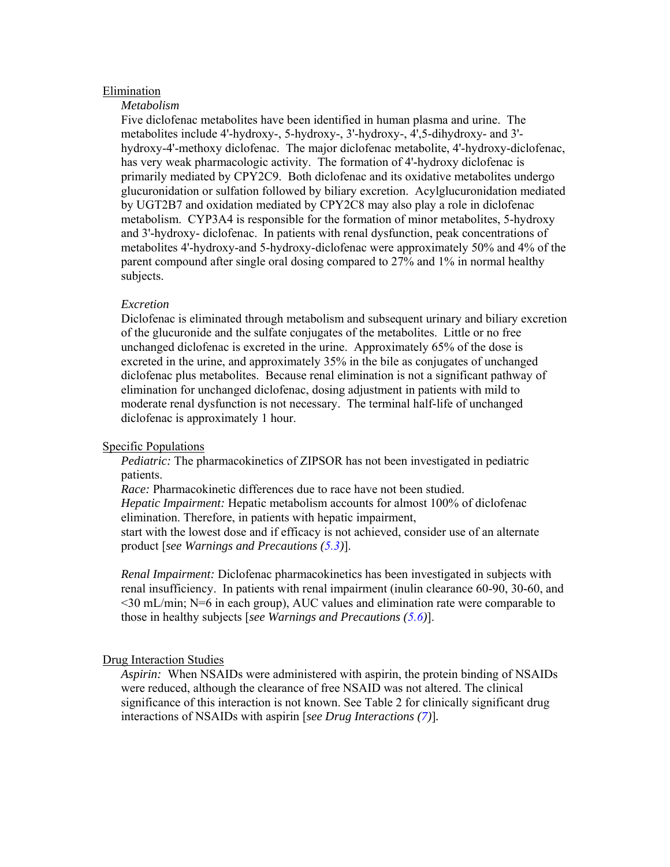#### Elimination

#### *Metabolism*

Five diclofenac metabolites have been identified in human plasma and urine. The metabolites include 4'-hydroxy-, 5-hydroxy-, 3'-hydroxy-, 4',5-dihydroxy- and 3' hydroxy-4'-methoxy diclofenac. The major diclofenac metabolite, 4'-hydroxy-diclofenac, has very weak pharmacologic activity. The formation of 4'-hydroxy diclofenac is primarily mediated by CPY2C9. Both diclofenac and its oxidative metabolites undergo glucuronidation or sulfation followed by biliary excretion. Acylglucuronidation mediated by UGT2B7 and oxidation mediated by CPY2C8 may also play a role in diclofenac metabolism. CYP3A4 is responsible for the formation of minor metabolites, 5-hydroxy and 3'-hydroxy- diclofenac. In patients with renal dysfunction, peak concentrations of metabolites 4'-hydroxy-and 5-hydroxy-diclofenac were approximately 50% and 4% of the parent compound after single oral dosing compared to 27% and 1% in normal healthy subjects.

#### *Excretion*

Diclofenac is eliminated through metabolism and subsequent urinary and biliary excretion of the glucuronide and the sulfate conjugates of the metabolites. Little or no free unchanged diclofenac is excreted in the urine. Approximately 65% of the dose is excreted in the urine, and approximately 35% in the bile as conjugates of unchanged diclofenac plus metabolites. Because renal elimination is not a significant pathway of elimination for unchanged diclofenac, dosing adjustment in patients with mild to moderate renal dysfunction is not necessary. The terminal half-life of unchanged diclofenac is approximately 1 hour.

#### Specific Populations

*Pediatric:* The pharmacokinetics of ZIPSOR has not been investigated in pediatric patients.

*Race:* Pharmacokinetic differences due to race have not been studied. *Hepatic Impairment:* Hepatic metabolism accounts for almost 100% of diclofenac elimination. Therefore, in patients with hepatic impairment, start with the lowest dose and if efficacy is not achieved, consider use of an alternate product [*see Warnings and Precautions (5.3)*].

*Renal Impairment:* Diclofenac pharmacokinetics has been investigated in subjects with renal insufficiency. In patients with renal impairment (inulin clearance 60-90, 30-60, and  $\leq$ 30 mL/min; N=6 in each group), AUC values and elimination rate were comparable to those in healthy subjects [*see Warnings and Precautions (5.6)*].

#### Drug Interaction Studies

*Aspirin:* When NSAIDs were administered with aspirin, the protein binding of NSAIDs were reduced, although the clearance of free NSAID was not altered. The clinical significance of this interaction is not known. See Table 2 for clinically significant drug interactions of NSAIDs with aspirin [*see Drug Interactions (7)*]*.*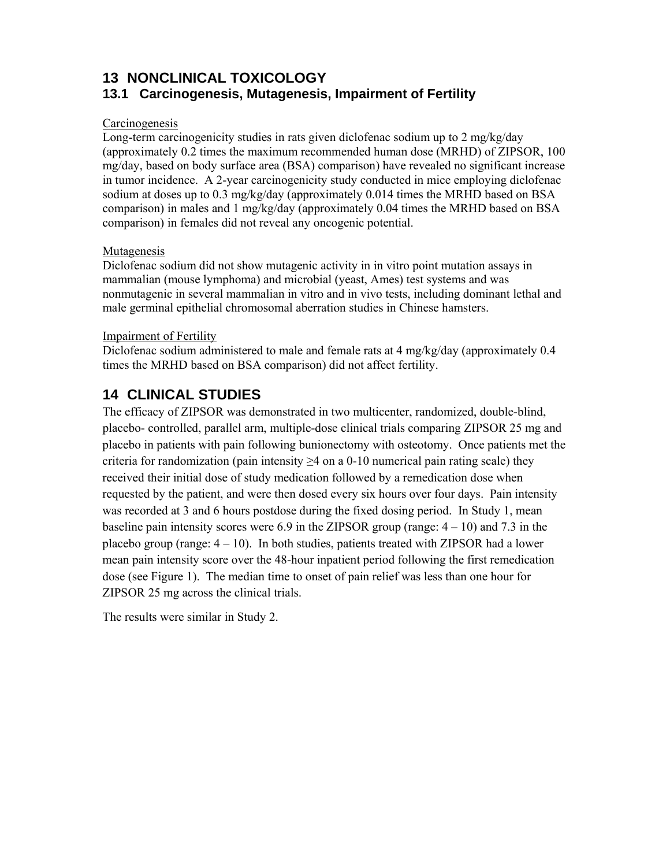# **13 NONCLINICAL TOXICOLOGY**

# **13.1 Carcinogenesis, Mutagenesis, Impairment of Fertility**

## Carcinogenesis

Long-term carcinogenicity studies in rats given diclofenac sodium up to 2 mg/kg/day (approximately 0.2 times the maximum recommended human dose (MRHD) of ZIPSOR, 100 mg/day, based on body surface area (BSA) comparison) have revealed no significant increase in tumor incidence. A 2-year carcinogenicity study conducted in mice employing diclofenac sodium at doses up to 0.3 mg/kg/day (approximately 0.014 times the MRHD based on BSA comparison) in males and 1 mg/kg/day (approximately 0.04 times the MRHD based on BSA comparison) in females did not reveal any oncogenic potential.

## Mutagenesis

Diclofenac sodium did not show mutagenic activity in in vitro point mutation assays in mammalian (mouse lymphoma) and microbial (yeast, Ames) test systems and was nonmutagenic in several mammalian in vitro and in vivo tests, including dominant lethal and male germinal epithelial chromosomal aberration studies in Chinese hamsters.

## Impairment of Fertility

Diclofenac sodium administered to male and female rats at 4 mg/kg/day (approximately 0.4) times the MRHD based on BSA comparison) did not affect fertility.

# **14 CLINICAL STUDIES**

The efficacy of ZIPSOR was demonstrated in two multicenter, randomized, double-blind, placebo- controlled, parallel arm, multiple-dose clinical trials comparing ZIPSOR 25 mg and placebo in patients with pain following bunionectomy with osteotomy. Once patients met the criteria for randomization (pain intensity  $\geq 4$  on a 0-10 numerical pain rating scale) they received their initial dose of study medication followed by a remedication dose when requested by the patient, and were then dosed every six hours over four days. Pain intensity was recorded at 3 and 6 hours postdose during the fixed dosing period. In Study 1, mean baseline pain intensity scores were 6.9 in the ZIPSOR group (range:  $4 - 10$ ) and 7.3 in the placebo group (range:  $4 - 10$ ). In both studies, patients treated with ZIPSOR had a lower mean pain intensity score over the 48-hour inpatient period following the first remedication dose (see Figure 1). The median time to onset of pain relief was less than one hour for ZIPSOR 25 mg across the clinical trials.

The results were similar in Study 2.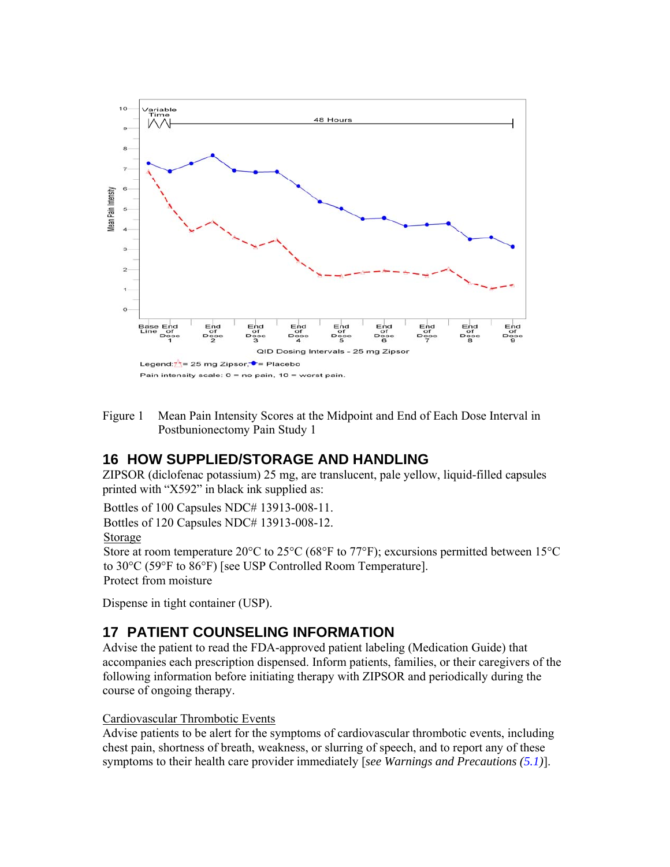

Figure 1 Mean Pain Intensity Scores at the Midpoint and End of Each Dose Interval in Postbunionectomy Pain Study 1

## **16 HOW SUPPLIED/STORAGE AND HANDLING**

ZIPSOR (diclofenac potassium) 25 mg, are translucent, pale yellow, liquid-filled capsules printed with "X592" in black ink supplied as:

Bottles of 100 Capsules NDC# 13913-008-11.

Bottles of 120 Capsules NDC# 13913-008-12.

Storage

Store at room temperature 20°C to 25°C (68°F to 77°F); excursions permitted between 15°C to 30°C (59°F to 86°F) [see USP Controlled Room Temperature]. Protect from moisture

Dispense in tight container (USP).

# **17 PATIENT COUNSELING INFORMATION**

Advise the patient to read the FDA-approved patient labeling (Medication Guide) that accompanies each prescription dispensed. Inform patients, families, or their caregivers of the following information before initiating therapy with ZIPSOR and periodically during the course of ongoing therapy.

#### Cardiovascular Thrombotic Events

Advise patients to be alert for the symptoms of cardiovascular thrombotic events, including chest pain, shortness of breath, weakness, or slurring of speech, and to report any of these symptoms to their health care provider immediately [*see Warnings and Precautions (5.1)*].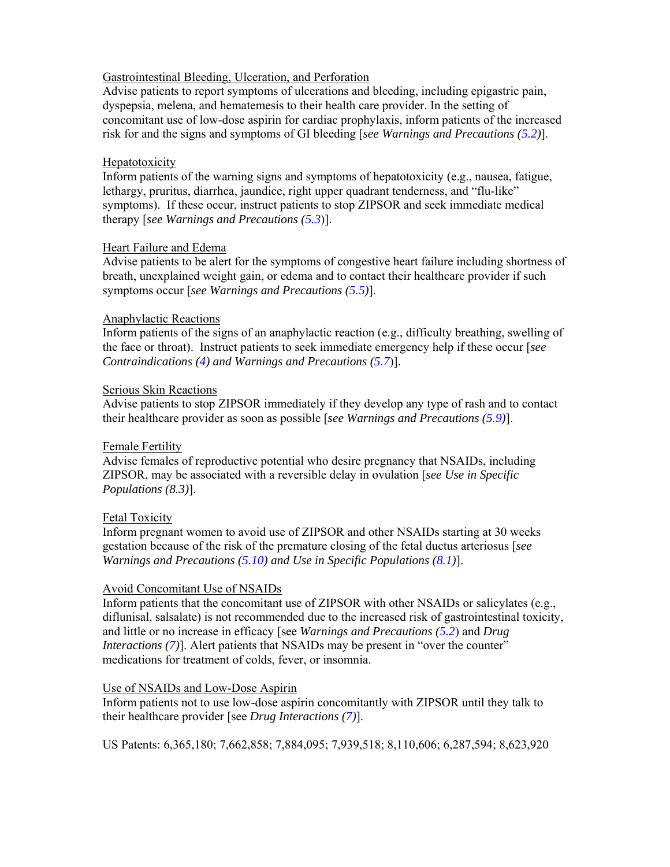#### Gastrointestinal Bleeding, Ulceration, and Perforation

Advise patients to report symptoms of ulcerations and bleeding, including epigastric pain, dyspepsia, melena, and hematemesis to their health care provider. In the setting of concomitant use of low-dose aspirin for cardiac prophylaxis, inform patients of the increased risk for and the signs and symptoms of GI bleeding [*see Warnings and Precautions (5.2)*].

#### **Hepatotoxicity**

Inform patients of the warning signs and symptoms of hepatotoxicity (e.g., nausea, fatigue, lethargy, pruritus, diarrhea, jaundice, right upper quadrant tenderness, and "flu-like" symptoms). If these occur, instruct patients to stop ZIPSOR and seek immediate medical therapy [*see Warnings and Precautions (5.3*)].

#### Heart Failure and Edema

Advise patients to be alert for the symptoms of congestive heart failure including shortness of breath, unexplained weight gain, or edema and to contact their healthcare provider if such symptoms occur [*see Warnings and Precautions (5.5)*].

#### Anaphylactic Reactions

Inform patients of the signs of an anaphylactic reaction (e.g., difficulty breathing, swelling of the face or throat). Instruct patients to seek immediate emergency help if these occur [*see Contraindications (4) and Warnings and Precautions (5.7*)].

#### Serious Skin Reactions

Advise patients to stop ZIPSOR immediately if they develop any type of rash and to contact their healthcare provider as soon as possible [*see Warnings and Precautions (5.9)*].

### Female Fertility

Advise females of reproductive potential who desire pregnancy that NSAIDs, including ZIPSOR, may be associated with a reversible delay in ovulation [*see Use in Specific Populations (8.3)*].

### Fetal Toxicity

Inform pregnant women to avoid use of ZIPSOR and other NSAIDs starting at 30 weeks gestation because of the risk of the premature closing of the fetal ductus arteriosus [*see Warnings and Precautions (5.10) and Use in Specific Populations (8.1)*].

#### Avoid Concomitant Use of NSAIDs

Inform patients that the concomitant use of ZIPSOR with other NSAIDs or salicylates (e.g., diflunisal, salsalate) is not recommended due to the increased risk of gastrointestinal toxicity, and little or no increase in efficacy [see *Warnings and Precautions (5.2*) and *Drug Interactions (7)*]. Alert patients that NSAIDs may be present in "over the counter" medications for treatment of colds, fever, or insomnia.

#### Use of NSAIDs and Low-Dose Aspirin

Inform patients not to use low-dose aspirin concomitantly with ZIPSOR until they talk to their healthcare provider [see *Drug Interactions (7)*].

US Patents: 6,365,180; 7,662,858; 7,884,095; 7,939,518; 8,110,606; 6,287,594; 8,623,920